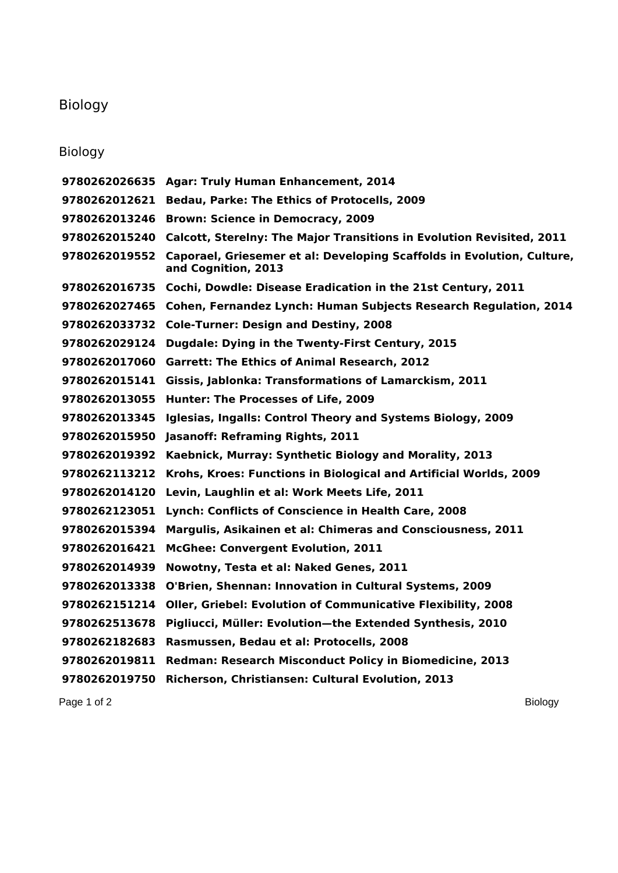## Biology

## Biology

 **Agar: Truly Human Enhancement, 2014 Bedau, Parke: The Ethics of Protocells, 2009 Brown: Science in Democracy, 2009 Calcott, Sterelny: The Major Transitions in Evolution Revisited, 2011 Caporael, Griesemer et al: Developing Scaffolds in Evolution, Culture, and Cognition, 2013 Cochi, Dowdle: Disease Eradication in the 21st Century, 2011 Cohen, Fernandez Lynch: Human Subjects Research Regulation, 2014 Cole-Turner: Design and Destiny, 2008 Dugdale: Dying in the Twenty-First Century, 2015 Garrett: The Ethics of Animal Research, 2012 Gissis, Jablonka: Transformations of Lamarckism, 2011 Hunter: The Processes of Life, 2009 Iglesias, Ingalls: Control Theory and Systems Biology, 2009 Jasanoff: Reframing Rights, 2011 Kaebnick, Murray: Synthetic Biology and Morality, 2013 Krohs, Kroes: Functions in Biological and Artificial Worlds, 2009 Levin, Laughlin et al: Work Meets Life, 2011 Lynch: Conflicts of Conscience in Health Care, 2008 Margulis, Asikainen et al: Chimeras and Consciousness, 2011 McGhee: Convergent Evolution, 2011 Nowotny, Testa et al: Naked Genes, 2011 O'Brien, Shennan: Innovation in Cultural Systems, 2009 Oller, Griebel: Evolution of Communicative Flexibility, 2008 Pigliucci, Müller: Evolution—the Extended Synthesis, 2010 Rasmussen, Bedau et al: Protocells, 2008 Redman: Research Misconduct Policy in Biomedicine, 2013 Richerson, Christiansen: Cultural Evolution, 2013**

Page 1 of 2 Biology